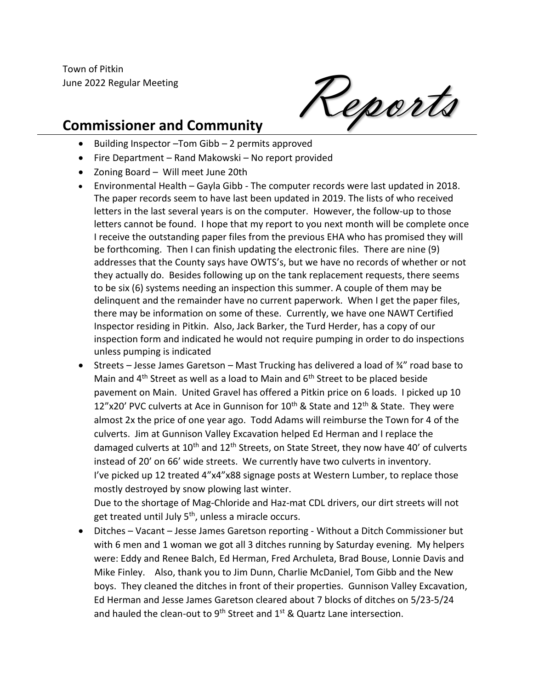Town of Pitkin June 2022 Regular Meeting

Reports

## **Commissioner and Community**

- Building Inspector –Tom Gibb 2 permits approved
- Fire Department Rand Makowski No report provided
- Zoning Board Will meet June 20th
- Environmental Health Gayla Gibb The computer records were last updated in 2018. The paper records seem to have last been updated in 2019. The lists of who received letters in the last several years is on the computer. However, the follow-up to those letters cannot be found. I hope that my report to you next month will be complete once I receive the outstanding paper files from the previous EHA who has promised they will be forthcoming. Then I can finish updating the electronic files. There are nine (9) addresses that the County says have OWTS's, but we have no records of whether or not they actually do. Besides following up on the tank replacement requests, there seems to be six (6) systems needing an inspection this summer. A couple of them may be delinquent and the remainder have no current paperwork. When I get the paper files, there may be information on some of these. Currently, we have one NAWT Certified Inspector residing in Pitkin. Also, Jack Barker, the Turd Herder, has a copy of our inspection form and indicated he would not require pumping in order to do inspections unless pumping is indicated
- Streets Jesse James Garetson Mast Trucking has delivered a load of ¾" road base to Main and  $4<sup>th</sup>$  Street as well as a load to Main and  $6<sup>th</sup>$  Street to be placed beside pavement on Main. United Gravel has offered a Pitkin price on 6 loads. I picked up 10 12"x20' PVC culverts at Ace in Gunnison for  $10^{th}$  & State and  $12^{th}$  & State. They were almost 2x the price of one year ago. Todd Adams will reimburse the Town for 4 of the culverts. Jim at Gunnison Valley Excavation helped Ed Herman and I replace the damaged culverts at  $10<sup>th</sup>$  and  $12<sup>th</sup>$  Streets, on State Street, they now have 40' of culverts instead of 20' on 66' wide streets. We currently have two culverts in inventory. I've picked up 12 treated 4"x4"x88 signage posts at Western Lumber, to replace those mostly destroyed by snow plowing last winter.

Due to the shortage of Mag-Chloride and Haz-mat CDL drivers, our dirt streets will not get treated until July 5<sup>th</sup>, unless a miracle occurs.

• Ditches – Vacant – Jesse James Garetson reporting - Without a Ditch Commissioner but with 6 men and 1 woman we got all 3 ditches running by Saturday evening. My helpers were: Eddy and Renee Balch, Ed Herman, Fred Archuleta, Brad Bouse, Lonnie Davis and Mike Finley. Also, thank you to Jim Dunn, Charlie McDaniel, Tom Gibb and the New boys. They cleaned the ditches in front of their properties. Gunnison Valley Excavation, Ed Herman and Jesse James Garetson cleared about 7 blocks of ditches on 5/23-5/24 and hauled the clean-out to 9<sup>th</sup> Street and  $1<sup>st</sup>$  & Quartz Lane intersection.